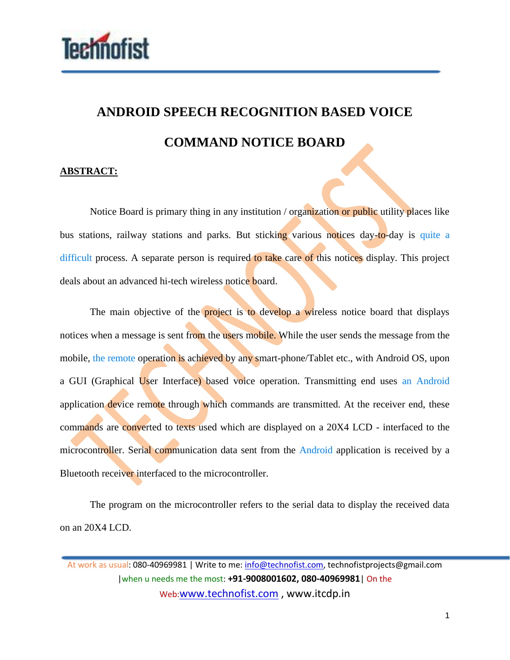

## **ANDROID SPEECH RECOGNITION BASED VOICE COMMAND NOTICE BOARD**

## **ABSTRACT:**

Notice Board is primary thing in any institution / organization or public utility places like bus stations, railway stations and parks. But sticking various notices day-to-day is quite a difficult process. A separate person is required to take care of this notices display. This project deals about an advanced hi-tech wireless notice board.

The main objective of the **project** is to develop a wireless notice board that displays notices when a message is sent from the users mobile. While the user sends the message from the mobile, the remote operation is achieved by any smart-phone/Tablet etc., with Android OS, upon a GUI (Graphical User Interface) based voice operation. Transmitting end uses an Android application device remote through which commands are transmitted. At the receiver end, these commands are converted to texts used which are displayed on a 20X4 LCD - interfaced to the microcontroller. Serial communication data sent from the Android application is received by a Bluetooth receiver interfaced to the microcontroller.

The program on the microcontroller refers to the serial data to display the received data on an 20X4 LCD.

At work as usual: 080-40969981 | Write to me: info@technofist.com, technofistprojects@gmail.com |when u needs me the most: **+91-9008001602, 080-40969981**| On the Web:www.technofist.com , www.itcdp.in